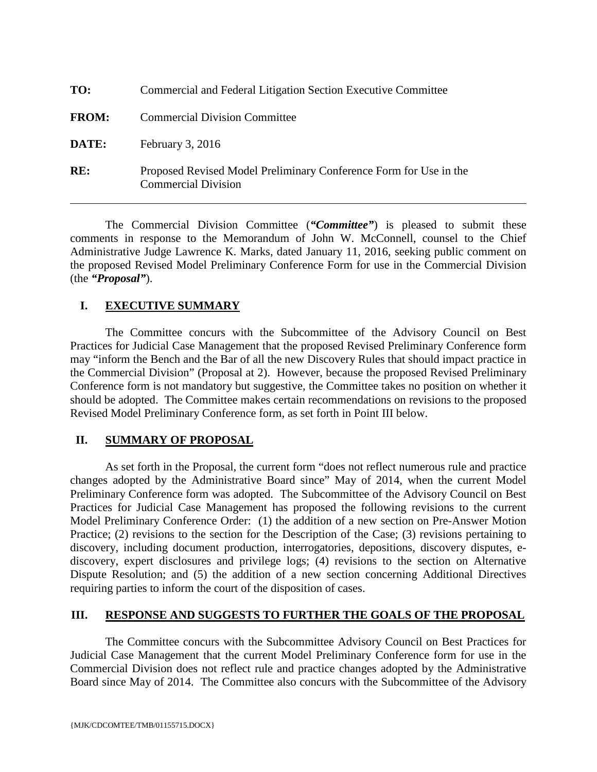| TO:          | Commercial and Federal Litigation Section Executive Committee                                   |
|--------------|-------------------------------------------------------------------------------------------------|
| <b>FROM:</b> | <b>Commercial Division Committee</b>                                                            |
| DATE:        | February $3, 2016$                                                                              |
| RE:          | Proposed Revised Model Preliminary Conference Form for Use in the<br><b>Commercial Division</b> |

The Commercial Division Committee (*"Committee"*) is pleased to submit these comments in response to the Memorandum of John W. McConnell, counsel to the Chief Administrative Judge Lawrence K. Marks, dated January 11, 2016, seeking public comment on the proposed Revised Model Preliminary Conference Form for use in the Commercial Division (the *"Proposal"*).

## **I. EXECUTIVE SUMMARY**

The Committee concurs with the Subcommittee of the Advisory Council on Best Practices for Judicial Case Management that the proposed Revised Preliminary Conference form may "inform the Bench and the Bar of all the new Discovery Rules that should impact practice in the Commercial Division" (Proposal at 2). However, because the proposed Revised Preliminary Conference form is not mandatory but suggestive, the Committee takes no position on whether it should be adopted. The Committee makes certain recommendations on revisions to the proposed Revised Model Preliminary Conference form, as set forth in Point III below.

## **II. SUMMARY OF PROPOSAL**

As set forth in the Proposal, the current form "does not reflect numerous rule and practice changes adopted by the Administrative Board since" May of 2014, when the current Model Preliminary Conference form was adopted. The Subcommittee of the Advisory Council on Best Practices for Judicial Case Management has proposed the following revisions to the current Model Preliminary Conference Order: (1) the addition of a new section on Pre-Answer Motion Practice; (2) revisions to the section for the Description of the Case; (3) revisions pertaining to discovery, including document production, interrogatories, depositions, discovery disputes, ediscovery, expert disclosures and privilege logs; (4) revisions to the section on Alternative Dispute Resolution; and (5) the addition of a new section concerning Additional Directives requiring parties to inform the court of the disposition of cases.

## **III. RESPONSE AND SUGGESTS TO FURTHER THE GOALS OF THE PROPOSAL**

The Committee concurs with the Subcommittee Advisory Council on Best Practices for Judicial Case Management that the current Model Preliminary Conference form for use in the Commercial Division does not reflect rule and practice changes adopted by the Administrative Board since May of 2014. The Committee also concurs with the Subcommittee of the Advisory